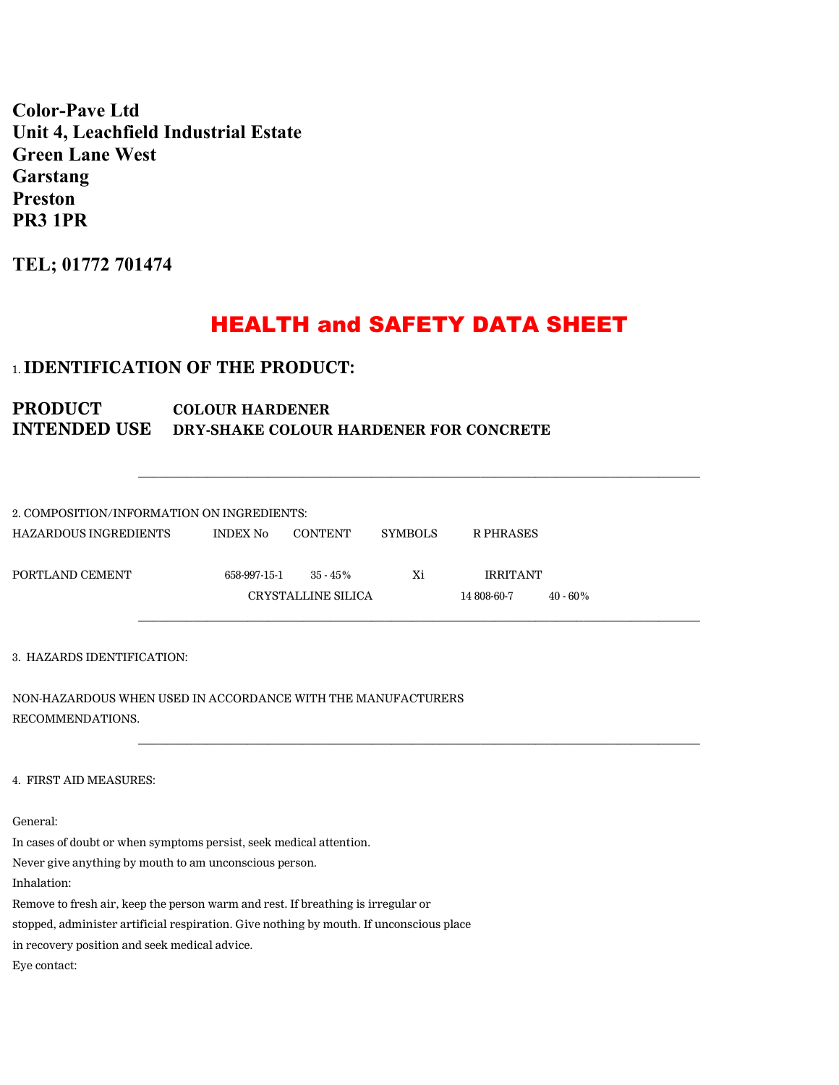**Color-Pave Ltd Unit 4, Leachfield Industrial Estate Green Lane West Garstang Preston PR3 1PR**

**TEL; 01772 701474**

# HEALTH and SAFETY DATA SHEET

\_\_\_\_\_\_\_\_\_\_\_\_\_\_\_\_\_\_\_\_\_\_\_\_\_\_\_\_\_\_\_\_\_\_\_\_\_\_\_\_\_\_\_\_\_\_\_\_\_\_\_\_\_\_\_\_\_\_\_\_\_\_\_\_\_\_\_\_\_\_\_\_\_\_\_\_\_\_\_\_\_\_

\_\_\_\_\_\_\_\_\_\_\_\_\_\_\_\_\_\_\_\_\_\_\_\_\_\_\_\_\_\_\_\_\_\_\_\_\_\_\_\_\_\_\_\_\_\_\_\_\_\_\_\_\_\_\_\_\_\_\_\_\_\_\_\_\_\_\_\_\_\_\_\_\_\_\_\_\_\_\_\_\_\_

# 1. **IDENTIFICATION OF THE PRODUCT:**

# PRODUCT COLOUR HARDENER **INTENDED USE DRY-SHAKE COLOUR HARDENER FOR CONCRETE**

| 2. COMPOSITION/INFORMATION ON INGREDIENTS: |                 |                    |                |                 |             |  |  |
|--------------------------------------------|-----------------|--------------------|----------------|-----------------|-------------|--|--|
| HAZARDOUS INGREDIENTS                      | <b>INDEX No</b> | CONTENT            | <b>SYMBOLS</b> | R PHRASES       |             |  |  |
| PORTLAND CEMENT                            | 658-997-15-1    | $35 - 45\%$        | Xi             | <b>IRRITANT</b> |             |  |  |
|                                            |                 | CRYSTALLINE SILICA |                | 14 808-60-7     | $40 - 60\%$ |  |  |
|                                            |                 |                    |                |                 |             |  |  |

3. HAZARDS IDENTIFICATION:

NON-HAZARDOUS WHEN USED IN ACCORDANCE WITH THE MANUFACTURERS RECOMMENDATIONS.

4. FIRST AID MEASURES:

General:

In cases of doubt or when symptoms persist, seek medical attention.

Never give anything by mouth to am unconscious person.

Inhalation:

Remove to fresh air, keep the person warm and rest. If breathing is irregular or

stopped, administer artificial respiration. Give nothing by mouth. If unconscious place

in recovery position and seek medical advice.

Eye contact: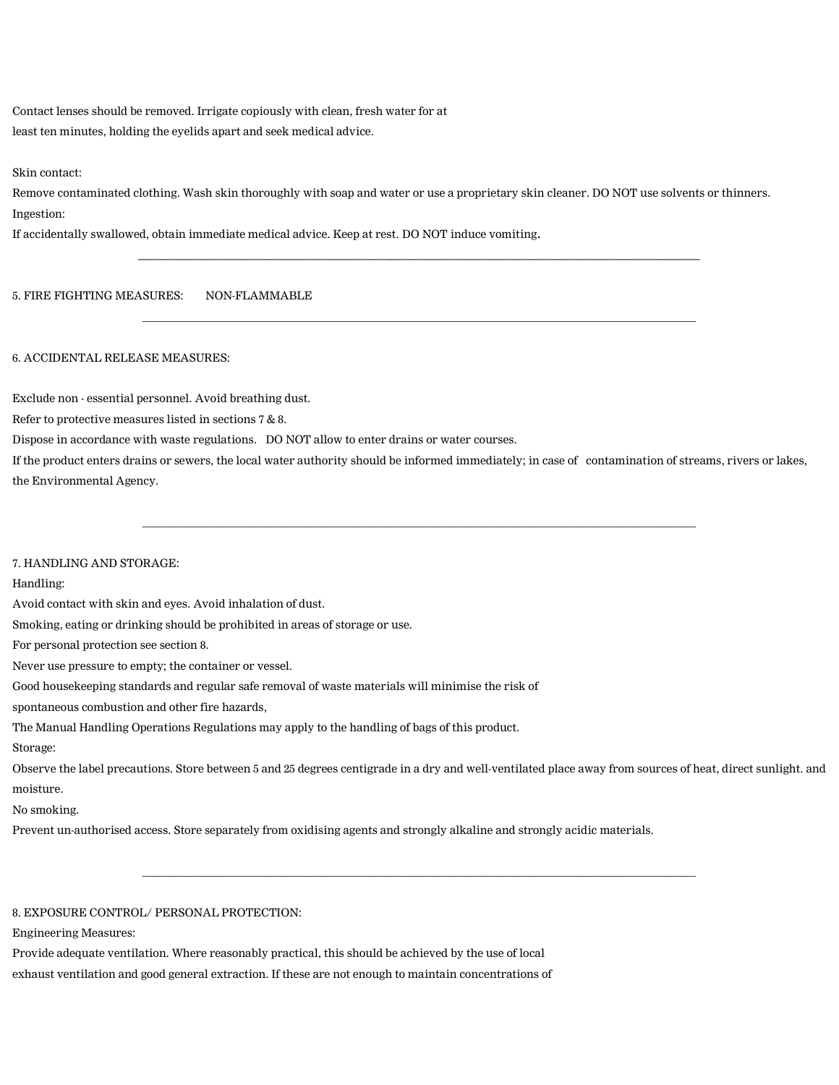Contact lenses should be removed. Irrigate copiously with clean, fresh water for at least ten minutes, holding the eyelids apart and seek medical advice.

Skin contact:

Remove contaminated clothing. Wash skin thoroughly with soap and water or use a proprietary skin cleaner. DO NOT use solvents or thinners. Ingestion:

 $\mathcal{L}_\text{max} = \{ \mathcal{L}_\text{max} = \{ \mathcal{L}_\text{max} = \{ \mathcal{L}_\text{max} = \{ \mathcal{L}_\text{max} = \{ \mathcal{L}_\text{max} = \{ \mathcal{L}_\text{max} = \{ \mathcal{L}_\text{max} = \{ \mathcal{L}_\text{max} = \{ \mathcal{L}_\text{max} = \{ \mathcal{L}_\text{max} = \{ \mathcal{L}_\text{max} = \{ \mathcal{L}_\text{max} = \{ \mathcal{L}_\text{max} = \{ \mathcal{L}_\text{max} = \{ \mathcal{L}_\text{max$ 

\_\_\_\_\_\_\_\_\_\_\_\_\_\_\_\_\_\_\_\_\_\_\_\_\_\_\_\_\_\_\_\_\_\_\_\_\_\_\_\_\_\_\_\_\_\_\_\_\_\_\_\_\_\_\_\_\_\_\_\_\_\_\_\_\_\_\_\_\_\_\_\_\_\_\_\_\_\_\_\_\_\_\_\_\_\_\_\_\_\_\_\_\_\_\_\_\_\_\_\_\_

If accidentally swallowed, obtain immediate medical advice. Keep at rest. DO NOT induce vomiting.

5. FIRE FIGHTING MEASURES: NON-FLAMMABLE

#### 6. ACCIDENTAL RELEASE MEASURES:

Exclude non - essential personnel. Avoid breathing dust.

Refer to protective measures listed in sections 7 & 8.

Dispose in accordance with waste regulations. DO NOT allow to enter drains or water courses.

If the product enters drains or sewers, the local water authority should be informed immediately; in case of contamination of streams, rivers or lakes, the Environmental Agency.

\_\_\_\_\_\_\_\_\_\_\_\_\_\_\_\_\_\_\_\_\_\_\_\_\_\_\_\_\_\_\_\_\_\_\_\_\_\_\_\_\_\_\_\_\_\_\_\_\_\_\_\_\_\_\_\_\_\_\_\_\_\_\_\_\_\_\_\_\_\_\_\_\_\_\_\_\_\_\_\_\_\_\_\_\_\_\_\_\_\_\_\_\_\_\_\_\_\_\_\_\_

7. HANDLING AND STORAGE:

Handling:

Avoid contact with skin and eyes. Avoid inhalation of dust.

Smoking, eating or drinking should be prohibited in areas of storage or use.

For personal protection see section 8.

Never use pressure to empty; the container or vessel.

Good housekeeping standards and regular safe removal of waste materials will minimise the risk of

spontaneous combustion and other fire hazards,

The Manual Handling Operations Regulations may apply to the handling of bags of this product.

Storage:

Observe the label precautions. Store between 5 and 25 degrees centigrade in a dry and well-ventilated place away from sources of heat, direct sunlight. and moisture.

\_\_\_\_\_\_\_\_\_\_\_\_\_\_\_\_\_\_\_\_\_\_\_\_\_\_\_\_\_\_\_\_\_\_\_\_\_\_\_\_\_\_\_\_\_\_\_\_\_\_\_\_\_\_\_\_\_\_\_\_\_\_\_\_\_\_\_\_\_\_\_\_\_\_\_\_\_\_\_\_\_\_\_\_\_\_\_\_\_\_\_\_\_\_\_\_\_\_\_\_\_

No smoking.

Prevent un-authorised access. Store separately from oxidising agents and strongly alkaline and strongly acidic materials.

8. EXPOSURE CONTROL/ PERSONAL PROTECTION:

Engineering Measures:

Provide adequate ventilation. Where reasonably practical, this should be achieved by the use of local exhaust ventilation and good general extraction. If these are not enough to maintain concentrations of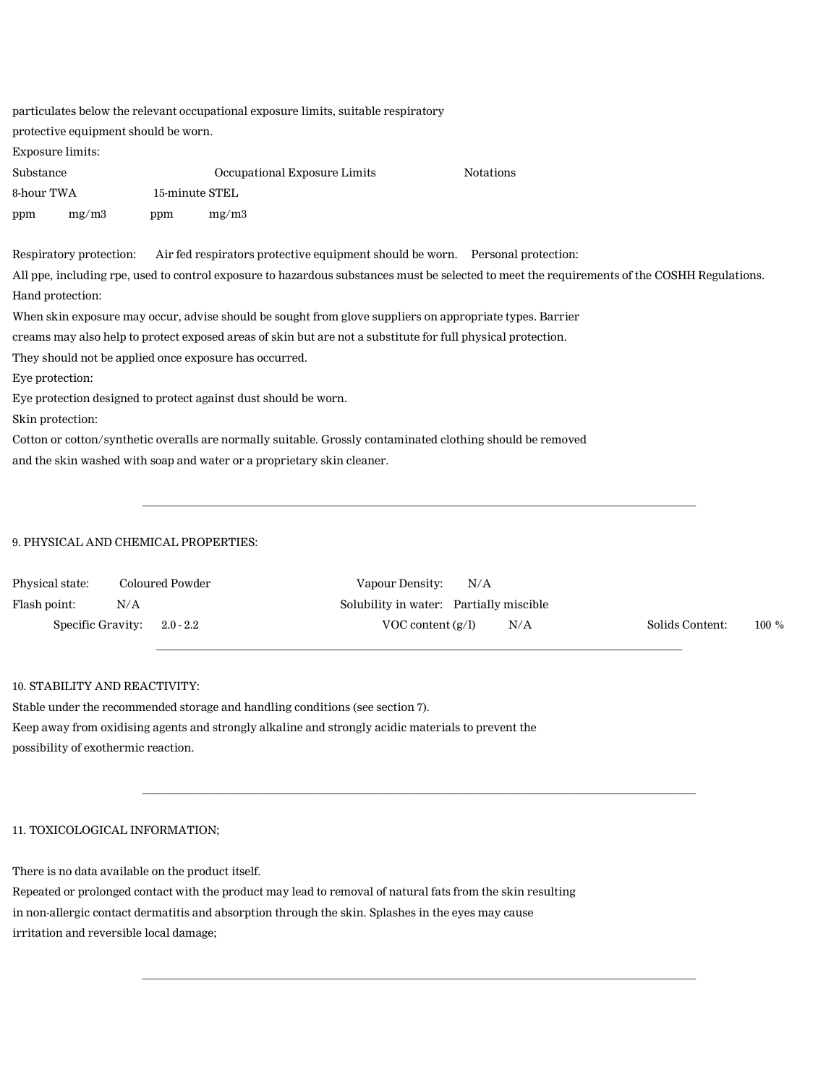| particulates below the relevant occupational exposure limits, suitable respiratory                           |                                      |                |                                                                               |                                                                                                                                              |  |  |  |  |
|--------------------------------------------------------------------------------------------------------------|--------------------------------------|----------------|-------------------------------------------------------------------------------|----------------------------------------------------------------------------------------------------------------------------------------------|--|--|--|--|
|                                                                                                              | protective equipment should be worn. |                |                                                                               |                                                                                                                                              |  |  |  |  |
| <b>Exposure limits:</b>                                                                                      |                                      |                |                                                                               |                                                                                                                                              |  |  |  |  |
| Substance                                                                                                    |                                      |                | Occupational Exposure Limits                                                  | <b>Notations</b>                                                                                                                             |  |  |  |  |
| 8-hour TWA                                                                                                   |                                      | 15-minute STEL |                                                                               |                                                                                                                                              |  |  |  |  |
| ppm                                                                                                          | mg/m3                                | ppm            | mg/m3                                                                         |                                                                                                                                              |  |  |  |  |
|                                                                                                              | Respiratory protection:              |                | Air fed respirators protective equipment should be worn. Personal protection: |                                                                                                                                              |  |  |  |  |
|                                                                                                              |                                      |                |                                                                               | All ppe, including rpe, used to control exposure to hazardous substances must be selected to meet the requirements of the COSHH Regulations. |  |  |  |  |
|                                                                                                              | Hand protection:                     |                |                                                                               |                                                                                                                                              |  |  |  |  |
| When skin exposure may occur, advise should be sought from glove suppliers on appropriate types. Barrier     |                                      |                |                                                                               |                                                                                                                                              |  |  |  |  |
| creams may also help to protect exposed areas of skin but are not a substitute for full physical protection. |                                      |                |                                                                               |                                                                                                                                              |  |  |  |  |
| They should not be applied once exposure has occurred.                                                       |                                      |                |                                                                               |                                                                                                                                              |  |  |  |  |
| Eye protection:                                                                                              |                                      |                |                                                                               |                                                                                                                                              |  |  |  |  |
|                                                                                                              |                                      |                | Eye protection designed to protect against dust should be worn.               |                                                                                                                                              |  |  |  |  |
| Skin protection:                                                                                             |                                      |                |                                                                               |                                                                                                                                              |  |  |  |  |
| Cotton or cotton/synthetic overalls are normally suitable. Grossly contaminated clothing should be removed   |                                      |                |                                                                               |                                                                                                                                              |  |  |  |  |
| and the skin washed with soap and water or a proprietary skin cleaner.                                       |                                      |                |                                                                               |                                                                                                                                              |  |  |  |  |

## 9. PHYSICAL AND CHEMICAL PROPERTIES:

| Physical state: | Coloured Powder               | Vapour Density:                         | N/A |     |                 |          |
|-----------------|-------------------------------|-----------------------------------------|-----|-----|-----------------|----------|
| Flash point:    | N/A                           | Solubility in water: Partially miscible |     |     |                 |          |
|                 | Specific Gravity: $2.0 - 2.2$ | VOC content $(g/l)$                     |     | N/A | Solids Content: | $100 \%$ |

\_\_\_\_\_\_\_\_\_\_\_\_\_\_\_\_\_\_\_\_\_\_\_\_\_\_\_\_\_\_\_\_\_\_\_\_\_\_\_\_\_\_\_\_\_\_\_\_\_\_\_\_\_\_\_\_\_\_\_\_\_\_\_\_\_\_\_\_\_\_\_\_\_\_\_\_\_\_\_\_\_\_\_\_\_\_\_\_\_\_\_\_\_\_\_\_\_\_\_\_\_

\_\_\_\_\_\_\_\_\_\_\_\_\_\_\_\_\_\_\_\_\_\_\_\_\_\_\_\_\_\_\_\_\_\_\_\_\_\_\_\_\_\_\_\_\_\_\_\_\_\_\_\_\_\_\_\_\_\_\_\_\_\_\_\_\_\_\_\_\_\_\_\_\_\_\_\_\_\_\_\_\_\_\_\_\_\_\_\_\_\_\_\_\_\_\_\_

 $\_$  ,  $\_$  ,  $\_$  ,  $\_$  ,  $\_$  ,  $\_$  ,  $\_$  ,  $\_$  ,  $\_$  ,  $\_$  ,  $\_$  ,  $\_$  ,  $\_$  ,  $\_$  ,  $\_$  ,  $\_$  ,  $\_$  ,  $\_$  ,  $\_$  ,  $\_$  ,  $\_$  ,  $\_$  ,  $\_$  ,  $\_$  ,  $\_$  ,  $\_$  ,  $\_$  ,  $\_$  ,  $\_$  ,  $\_$  ,  $\_$  ,  $\_$  ,  $\_$  ,  $\_$  ,  $\_$  ,  $\_$  ,  $\_$  ,

\_\_\_\_\_\_\_\_\_\_\_\_\_\_\_\_\_\_\_\_\_\_\_\_\_\_\_\_\_\_\_\_\_\_\_\_\_\_\_\_\_\_\_\_\_\_\_\_\_\_\_\_\_\_\_\_\_\_\_\_\_\_\_\_\_\_\_\_\_\_\_\_\_\_\_\_\_\_\_\_\_\_\_\_\_\_\_\_\_\_\_\_\_\_\_\_\_\_\_\_\_

# 10. STABILITY AND REACTIVITY:

Stable under the recommended storage and handling conditions (see section 7). Keep away from oxidising agents and strongly alkaline and strongly acidic materials to prevent the possibility of exothermic reaction.

### 11. TOXICOLOGICAL INFORMATION;

There is no data available on the product itself.

Repeated or prolonged contact with the product may lead to removal of natural fats from the skin resulting in non-allergic contact dermatitis and absorption through the skin. Splashes in the eyes may cause irritation and reversible local damage;